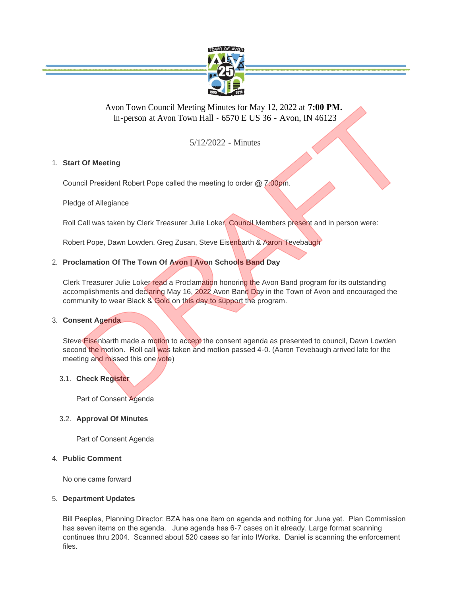

# Avon Town Council Meeting Minutes for May 12, 2022 at **7:00 PM.**  In-person at Avon Town Hall **-** 6570 E US 36 - Avon, IN 46123

5/12/2022 - Minutes

# **Start Of Meeting** 1.

Council President Robert Pope called the meeting to order @ 7:00pm.

Pledge of Allegiance

Roll Call was taken by Clerk Treasurer Julie Loker, Council Members present and in person were:

Robert Pope, Dawn Lowden, Greg Zusan, Steve Eisenbarth & Aaron Tevebaugh

# **Proclamation Of The Town Of Avon | Avon Schools Band Day** 2.

Clerk Treasurer Julie Loker read a Proclamation honoring the Avon Band program for its outstanding accomplishments and declaring May 16, 2022 Avon Band Day in the Town of Avon and encouraged the community to wear Black & Gold on this day to support the program. Avon Town Council Meeting Minutes for May 12, 2022 at 7:00 PM.<br>
In-person at Avon Town Hall - 6570 E US 36 - Avon, IN 46123<br>
5/12/2022 - Minutes<br>
Of Meeting<br>
call Was taken by Clerk Treasurer Julie Loker, Council Members p

# **Consent Agenda** 3.

Steve Eisenbarth made a motion to accept the consent agenda as presented to council, Dawn Lowden second the motion. Roll call was taken and motion passed 4-0. (Aaron Tevebaugh arrived late for the meeting and missed this one vote)

# **Check Register** 3.1.

Part of Consent Agenda

# **Approval Of Minutes** 3.2.

Part of Consent Agenda

### **Public Comment** 4.

No one came forward

### **Department Updates** 5.

Bill Peeples, Planning Director: BZA has one item on agenda and nothing for June yet. Plan Commission has seven items on the agenda. June agenda has 6-7 cases on it already. Large format scanning continues thru 2004. Scanned about 520 cases so far into IWorks. Daniel is scanning the enforcement files.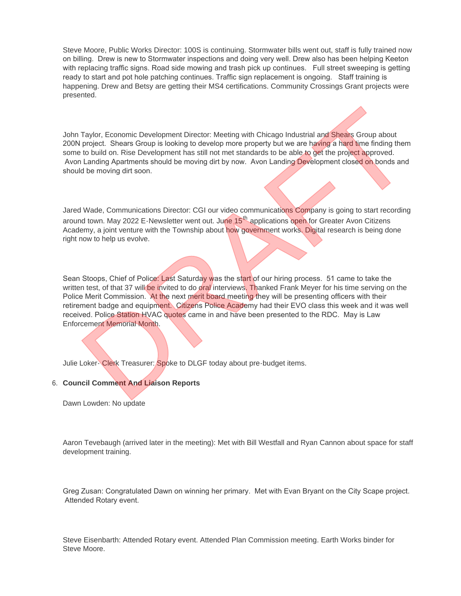Steve Moore, Public Works Director: 100S is continuing. Stormwater bills went out, staff is fully trained now on billing. Drew is new to Stormwater inspections and doing very well. Drew also has been helping Keeton with replacing traffic signs. Road side mowing and trash pick up continues. Full street sweeping is getting ready to start and pot hole patching continues. Traffic sign replacement is ongoing. Staff training is happening. Drew and Betsy are getting their MS4 certifications. Community Crossings Grant projects were presented.

John Taylor, Economic Development Director: Meeting with Chicago Industrial and Shears Group about 200N project. Shears Group is looking to develop more property but we are having a hard time finding them some to build on. Rise Development has still not met standards to be able to get the project approved. Avon Landing Apartments should be moving dirt by now. Avon Landing Development closed on bonds and should be moving dirt soon.

Jared Wade, Communications Director: CGI our video communications Company is going to start recording around town. May 2022 E-Newsletter went out. June 15<sup>th</sup> applications open for Greater Avon Citizens Academy, a joint venture with the Township about how government works. Digital research is being done right now to help us evolve.

Sean Stoops, Chief of Police: Last Saturday was the start of our hiring process. 51 came to take the written test, of that 37 will be invited to do oral interviews. Thanked Frank Meyer for his time serving on the Police Merit Commission. At the next merit board meeting they will be presenting officers with their retirement badge and equipment. Citizens Police Academy had their EVO class this week and it was well received. Police Station HVAC quotes came in and have been presented to the RDC. May is Law Enforcement Memorial Month. Taylor, Economic Development Director: Meeting with Chicago Industrial and Shears Group about<br>project. Shears Group is looking to develop more property but we are having a hard time finding them<br>to build on. Rise Developme

Julie Loker- Clerk Treasurer: Spoke to DLGF today about pre-budget items.

### **Council Comment And Liaison Reports** 6.

Dawn Lowden: No update

Aaron Tevebaugh (arrived later in the meeting): Met with Bill Westfall and Ryan Cannon about space for staff development training.

Greg Zusan: Congratulated Dawn on winning her primary. Met with Evan Bryant on the City Scape project. Attended Rotary event.

Steve Eisenbarth: Attended Rotary event. Attended Plan Commission meeting. Earth Works binder for Steve Moore.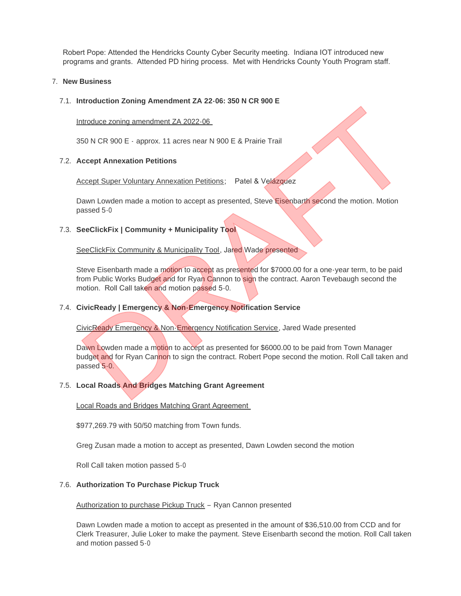Robert Pope: Attended the Hendricks County Cyber Security meeting. Indiana IOT introduced new programs and grants. Attended PD hiring process. Met with Hendricks County Youth Program staff.

### **New Business** 7.

### **Introduction Zoning Amendment ZA 22-06: 350 N CR 900 E** 7.1.

Introduce zoning amendment ZA 2022-06

350 N CR 900 E - approx. 11 acres near N 900 E & Prairie Trail

### **Accept Annexation Petitions** 7.2.

**Accept Super Voluntary Annexation Petitions; Patel & Velázquez** 

Dawn Lowden made a motion to accept as presented, Steve Eisenbarth second the motion. Motion passed 5-0

### **SeeClickFix | Community + Municipality Tool** 7.3.

SeeClickFix Community & Municipality Tool, Jared Wade presented

Steve Eisenbarth made a motion to accept as presented for \$7000.00 for a one-year term, to be paid from Public Works Budget and for Ryan Cannon to sign the contract. Aaron Tevebaugh second the motion. Roll Call taken and motion passed 5-0.

### **CivicReady | Emergency & Non-Emergency Notification Service** 7.4.

CivicReady Emergency & Non-Emergency Notification Service, Jared Wade presented

Dawn Lowden made a motion to accept as presented for \$6000.00 to be paid from Town Manager budget and for Ryan Cannon to sign the contract. Robert Pope second the motion. Roll Call taken and passed 5-0. Introduce zoning amendment ZA 2022-06.<br>ISO N CR 900 E - approx. 11 acros near N 900 E & Prairie Trail<br>Recept Annexation Petitions<br>Recept Annexation Petitions:<br>Developt Super Volunlary Annexation Petitions: Patel & Velazque

### **Local Roads And Bridges Matching Grant Agreement** 7.5.

Local Roads and Bridges Matching Grant Agreement

\$977,269.79 with 50/50 matching from Town funds.

Greg Zusan made a motion to accept as presented, Dawn Lowden second the motion

Roll Call taken motion passed 5-0

### **Authorization To Purchase Pickup Truck** 7.6.

Authorization to purchase Pickup Truck - Ryan Cannon presented

Dawn Lowden made a motion to accept as presented in the amount of \$36,510.00 from CCD and for Clerk Treasurer, Julie Loker to make the payment. Steve Eisenbarth second the motion. Roll Call taken and motion passed 5-0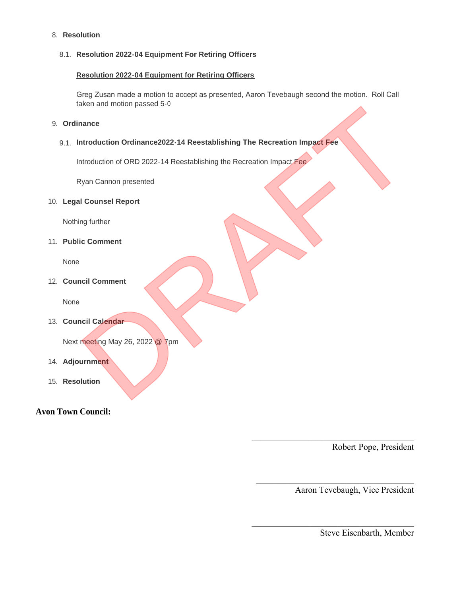### **Resolution** 8.

## **Resolution 2022-04 Equipment For Retiring Officers** 8.1.

## **Resolution 2022-04 Equipment for Retiring Officers**

Greg Zusan made a motion to accept as presented, Aaron Tevebaugh second the motion. Roll Call taken and motion passed 5-0

 $\mathcal{L}_\text{max}$  , which is a set of the contract of the contract of the contract of the contract of the contract of the contract of the contract of the contract of the contract of the contract of the contract of the contrac

 $\mathcal{L}_\text{max}$  , and the contract of the contract of the contract of the contract of the contract of the contract of the contract of the contract of the contract of the contract of the contract of the contract of the contr

 $\mathcal{L}_\text{max}$  , which is a set of the contract of the contract of the contract of the contract of the contract of the contract of the contract of the contract of the contract of the contract of the contract of the contrac

### **Ordinance** 9.

# **Introduction Ordinance2022-14 Reestablishing The Recreation Impact Fee**  9.1. Exercision Incolor passed 5-0<br>
Introduction Ordinance2022-14 Reestablishing The Recreation Impact Fee<br>
Introduction of ORD 2022-14 Reestablishing the Recreation Impact Fee<br>
Van Cannon presented<br>
Il Counsel Report<br>
Incil Ca

Introduction of ORD 2022-14 Reestablishing the Recreation Impact Fee

Ryan Cannon presented

## **Legal Counsel Report** 10.

Nothing further

**Public Comment** 11.

None

**Council Comment** 12.

None

**Council Calendar** 13.

Next meeting May 26, 2022 @ 7pm

- **Adjournment** 14.
- 15. Resolution

# **Avon Town Council:**

Robert Pope, President

Aaron Tevebaugh, Vice President

Steve Eisenbarth, Member